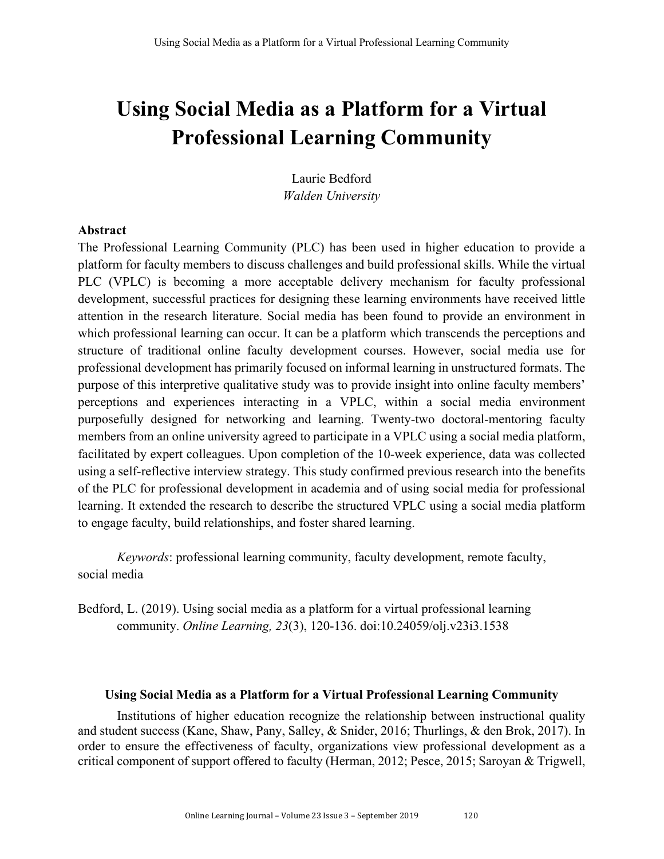# **Using Social Media as a Platform for a Virtual Professional Learning Community**

Laurie Bedford *Walden University*

# **Abstract**

The Professional Learning Community (PLC) has been used in higher education to provide a platform for faculty members to discuss challenges and build professional skills. While the virtual PLC (VPLC) is becoming a more acceptable delivery mechanism for faculty professional development, successful practices for designing these learning environments have received little attention in the research literature. Social media has been found to provide an environment in which professional learning can occur. It can be a platform which transcends the perceptions and structure of traditional online faculty development courses. However, social media use for professional development has primarily focused on informal learning in unstructured formats. The purpose of this interpretive qualitative study was to provide insight into online faculty members' perceptions and experiences interacting in a VPLC, within a social media environment purposefully designed for networking and learning. Twenty-two doctoral-mentoring faculty members from an online university agreed to participate in a VPLC using a social media platform, facilitated by expert colleagues. Upon completion of the 10-week experience, data was collected using a self-reflective interview strategy. This study confirmed previous research into the benefits of the PLC for professional development in academia and of using social media for professional learning. It extended the research to describe the structured VPLC using a social media platform to engage faculty, build relationships, and foster shared learning.

*Keywords*: professional learning community, faculty development, remote faculty, social media

Bedford, L. (2019). Using social media as a platform for a virtual professional learning community. *Online Learning, 23*(3), 120-136. doi:10.24059/olj.v23i3.1538

# **Using Social Media as a Platform for a Virtual Professional Learning Community**

Institutions of higher education recognize the relationship between instructional quality and student success (Kane, Shaw, Pany, Salley, & Snider, 2016; Thurlings, & den Brok, 2017). In order to ensure the effectiveness of faculty, organizations view professional development as a critical component of support offered to faculty (Herman, 2012; Pesce, 2015; Saroyan & Trigwell,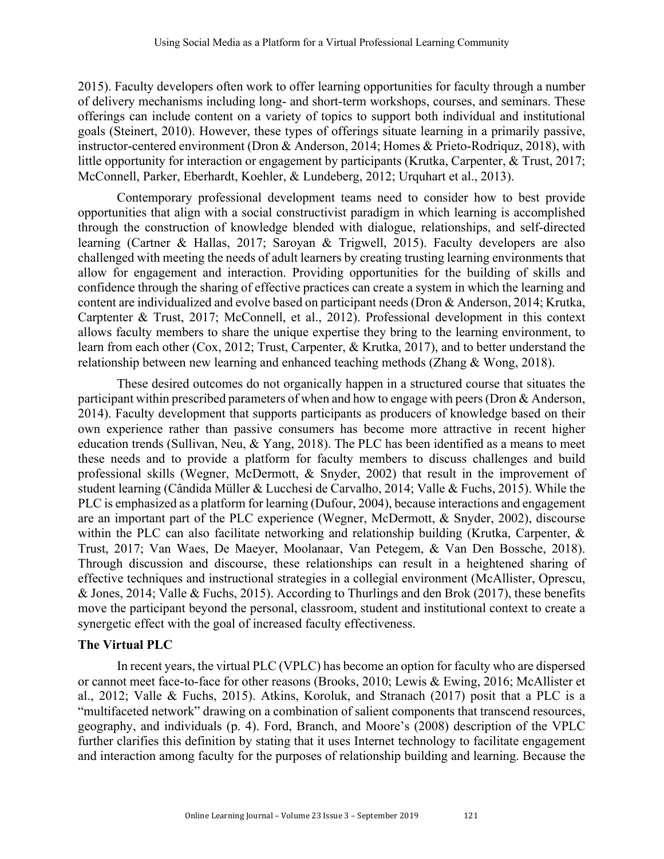2015). Faculty developers often work to offer learning opportunities for faculty through a number of delivery mechanisms including long- and short-term workshops, courses, and seminars. These offerings can include content on a variety of topics to support both individual and institutional goals (Steinert, 2010). However, these types of offerings situate learning in a primarily passive, instructor-centered environment (Dron & Anderson, 2014; Homes & Prieto-Rodriquz, 2018), with little opportunity for interaction or engagement by participants (Krutka, Carpenter, & Trust, 2017; McConnell, Parker, Eberhardt, Koehler, & Lundeberg, 2012; Urquhart et al., 2013).

Contemporary professional development teams need to consider how to best provide opportunities that align with a social constructivist paradigm in which learning is accomplished through the construction of knowledge blended with dialogue, relationships, and self-directed learning (Cartner & Hallas, 2017; Saroyan & Trigwell, 2015). Faculty developers are also challenged with meeting the needs of adult learners by creating trusting learning environments that allow for engagement and interaction. Providing opportunities for the building of skills and confidence through the sharing of effective practices can create a system in which the learning and content are individualized and evolve based on participant needs (Dron & Anderson, 2014; Krutka, Carptenter & Trust, 2017; McConnell, et al., 2012). Professional development in this context allows faculty members to share the unique expertise they bring to the learning environment, to learn from each other (Cox, 2012; Trust, Carpenter, & Krutka, 2017), and to better understand the relationship between new learning and enhanced teaching methods (Zhang & Wong, 2018).

These desired outcomes do not organically happen in a structured course that situates the participant within prescribed parameters of when and how to engage with peers (Dron & Anderson, 2014). Faculty development that supports participants as producers of knowledge based on their own experience rather than passive consumers has become more attractive in recent higher education trends (Sullivan, Neu, & Yang, 2018). The PLC has been identified as a means to meet these needs and to provide a platform for faculty members to discuss challenges and build professional skills (Wegner, McDermott, & Snyder, 2002) that result in the improvement of student learning (Cândida Müller & Lucchesi de Carvalho, 2014; Valle & Fuchs, 2015). While the PLC is emphasized as a platform for learning (Dufour, 2004), because interactions and engagement are an important part of the PLC experience (Wegner, McDermott, & Snyder, 2002), discourse within the PLC can also facilitate networking and relationship building (Krutka, Carpenter, & Trust, 2017; Van Waes, De Maeyer, Moolanaar, Van Petegem, & Van Den Bossche, 2018). Through discussion and discourse, these relationships can result in a heightened sharing of effective techniques and instructional strategies in a collegial environment (McAllister, Oprescu, & Jones, 2014; Valle & Fuchs, 2015). According to Thurlings and den Brok (2017), these benefits move the participant beyond the personal, classroom, student and institutional context to create a synergetic effect with the goal of increased faculty effectiveness.

# **The Virtual PLC**

In recent years, the virtual PLC (VPLC) has become an option for faculty who are dispersed or cannot meet face-to-face for other reasons (Brooks, 2010; Lewis & Ewing, 2016; McAllister et al., 2012; Valle & Fuchs, 2015). Atkins, Koroluk, and Stranach (2017) posit that a PLC is a "multifaceted network" drawing on a combination of salient components that transcend resources, geography, and individuals (p. 4). Ford, Branch, and Moore's (2008) description of the VPLC further clarifies this definition by stating that it uses Internet technology to facilitate engagement and interaction among faculty for the purposes of relationship building and learning. Because the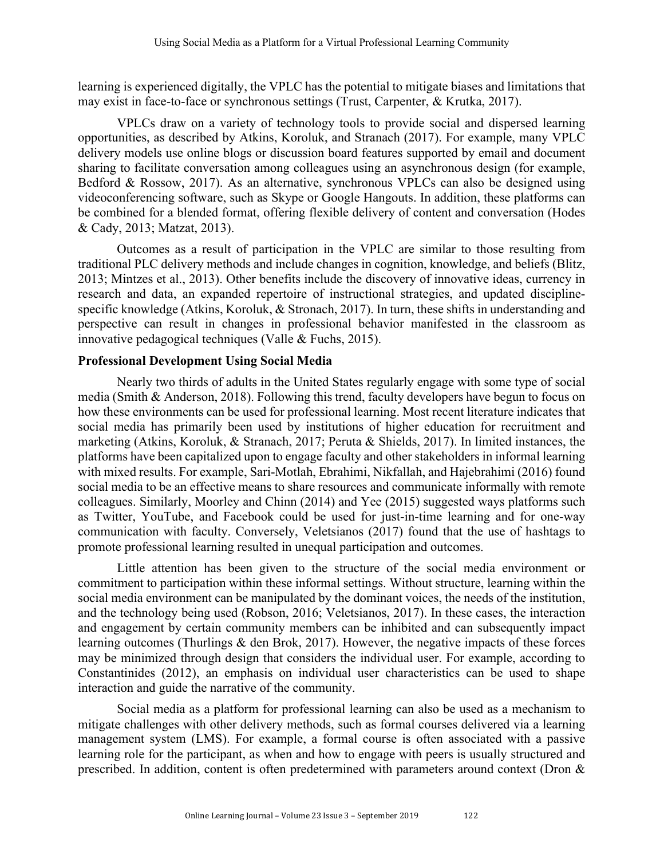learning is experienced digitally, the VPLC has the potential to mitigate biases and limitations that may exist in face-to-face or synchronous settings (Trust, Carpenter, & Krutka, 2017).

VPLCs draw on a variety of technology tools to provide social and dispersed learning opportunities, as described by Atkins, Koroluk, and Stranach (2017). For example, many VPLC delivery models use online blogs or discussion board features supported by email and document sharing to facilitate conversation among colleagues using an asynchronous design (for example, Bedford & Rossow, 2017). As an alternative, synchronous VPLCs can also be designed using videoconferencing software, such as Skype or Google Hangouts. In addition, these platforms can be combined for a blended format, offering flexible delivery of content and conversation (Hodes & Cady, 2013; Matzat, 2013).

Outcomes as a result of participation in the VPLC are similar to those resulting from traditional PLC delivery methods and include changes in cognition, knowledge, and beliefs (Blitz, 2013; Mintzes et al., 2013). Other benefits include the discovery of innovative ideas, currency in research and data, an expanded repertoire of instructional strategies, and updated disciplinespecific knowledge (Atkins, Koroluk, & Stronach, 2017). In turn, these shifts in understanding and perspective can result in changes in professional behavior manifested in the classroom as innovative pedagogical techniques (Valle & Fuchs, 2015).

# **Professional Development Using Social Media**

Nearly two thirds of adults in the United States regularly engage with some type of social media (Smith & Anderson, 2018). Following this trend, faculty developers have begun to focus on how these environments can be used for professional learning. Most recent literature indicates that social media has primarily been used by institutions of higher education for recruitment and marketing (Atkins, Koroluk, & Stranach, 2017; Peruta & Shields, 2017). In limited instances, the platforms have been capitalized upon to engage faculty and other stakeholders in informal learning with mixed results. For example, Sari-Motlah, Ebrahimi, Nikfallah, and Hajebrahimi (2016) found social media to be an effective means to share resources and communicate informally with remote colleagues. Similarly, Moorley and Chinn (2014) and Yee (2015) suggested ways platforms such as Twitter, YouTube, and Facebook could be used for just-in-time learning and for one-way communication with faculty. Conversely, Veletsianos (2017) found that the use of hashtags to promote professional learning resulted in unequal participation and outcomes.

Little attention has been given to the structure of the social media environment or commitment to participation within these informal settings. Without structure, learning within the social media environment can be manipulated by the dominant voices, the needs of the institution, and the technology being used (Robson, 2016; Veletsianos, 2017). In these cases, the interaction and engagement by certain community members can be inhibited and can subsequently impact learning outcomes (Thurlings & den Brok, 2017). However, the negative impacts of these forces may be minimized through design that considers the individual user. For example, according to Constantinides (2012), an emphasis on individual user characteristics can be used to shape interaction and guide the narrative of the community.

Social media as a platform for professional learning can also be used as a mechanism to mitigate challenges with other delivery methods, such as formal courses delivered via a learning management system (LMS). For example, a formal course is often associated with a passive learning role for the participant, as when and how to engage with peers is usually structured and prescribed. In addition, content is often predetermined with parameters around context (Dron &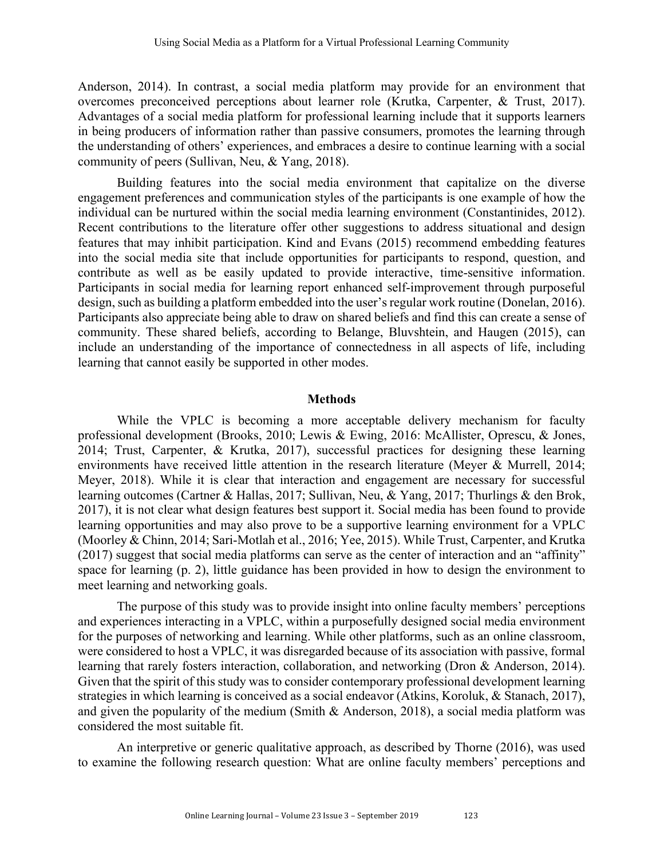Anderson, 2014). In contrast, a social media platform may provide for an environment that overcomes preconceived perceptions about learner role (Krutka, Carpenter, & Trust, 2017). Advantages of a social media platform for professional learning include that it supports learners in being producers of information rather than passive consumers, promotes the learning through the understanding of others' experiences, and embraces a desire to continue learning with a social community of peers (Sullivan, Neu, & Yang, 2018).

Building features into the social media environment that capitalize on the diverse engagement preferences and communication styles of the participants is one example of how the individual can be nurtured within the social media learning environment (Constantinides, 2012). Recent contributions to the literature offer other suggestions to address situational and design features that may inhibit participation. Kind and Evans (2015) recommend embedding features into the social media site that include opportunities for participants to respond, question, and contribute as well as be easily updated to provide interactive, time-sensitive information. Participants in social media for learning report enhanced self-improvement through purposeful design, such as building a platform embedded into the user's regular work routine (Donelan, 2016). Participants also appreciate being able to draw on shared beliefs and find this can create a sense of community. These shared beliefs, according to Belange, Bluvshtein, and Haugen (2015), can include an understanding of the importance of connectedness in all aspects of life, including learning that cannot easily be supported in other modes.

## **Methods**

While the VPLC is becoming a more acceptable delivery mechanism for faculty professional development (Brooks, 2010; Lewis & Ewing, 2016: McAllister, Oprescu, & Jones, 2014; Trust, Carpenter, & Krutka, 2017), successful practices for designing these learning environments have received little attention in the research literature (Meyer & Murrell, 2014; Meyer, 2018). While it is clear that interaction and engagement are necessary for successful learning outcomes (Cartner & Hallas, 2017; Sullivan, Neu, & Yang, 2017; Thurlings & den Brok, 2017), it is not clear what design features best support it. Social media has been found to provide learning opportunities and may also prove to be a supportive learning environment for a VPLC (Moorley & Chinn, 2014; Sari-Motlah et al., 2016; Yee, 2015). While Trust, Carpenter, and Krutka (2017) suggest that social media platforms can serve as the center of interaction and an "affinity" space for learning (p. 2), little guidance has been provided in how to design the environment to meet learning and networking goals.

The purpose of this study was to provide insight into online faculty members' perceptions and experiences interacting in a VPLC, within a purposefully designed social media environment for the purposes of networking and learning. While other platforms, such as an online classroom, were considered to host a VPLC, it was disregarded because of its association with passive, formal learning that rarely fosters interaction, collaboration, and networking (Dron & Anderson, 2014). Given that the spirit of this study was to consider contemporary professional development learning strategies in which learning is conceived as a social endeavor (Atkins, Koroluk, & Stanach, 2017), and given the popularity of the medium (Smith & Anderson, 2018), a social media platform was considered the most suitable fit.

An interpretive or generic qualitative approach, as described by Thorne (2016), was used to examine the following research question: What are online faculty members' perceptions and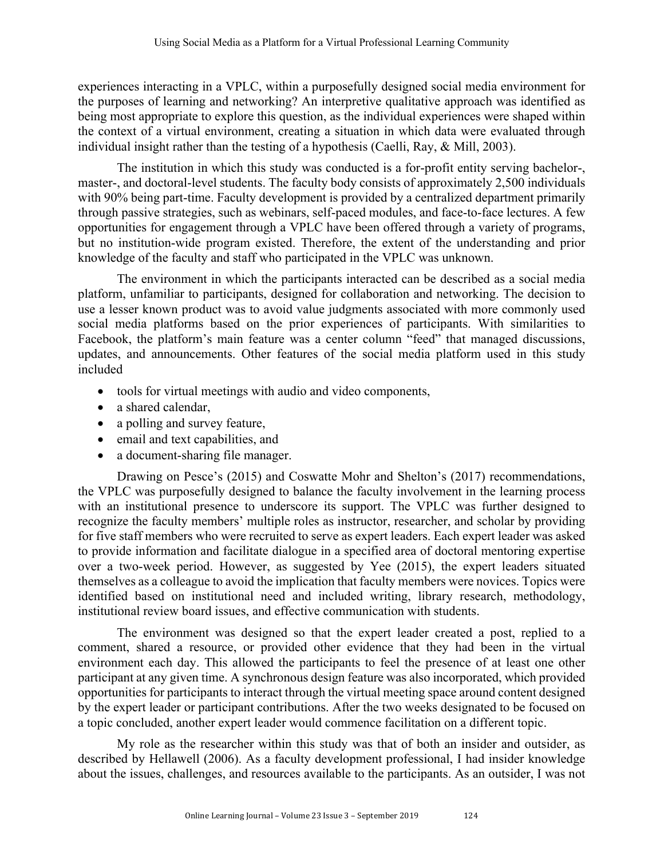experiences interacting in a VPLC, within a purposefully designed social media environment for the purposes of learning and networking? An interpretive qualitative approach was identified as being most appropriate to explore this question, as the individual experiences were shaped within the context of a virtual environment, creating a situation in which data were evaluated through individual insight rather than the testing of a hypothesis (Caelli, Ray, & Mill, 2003).

The institution in which this study was conducted is a for-profit entity serving bachelor-, master-, and doctoral-level students. The faculty body consists of approximately 2,500 individuals with 90% being part-time. Faculty development is provided by a centralized department primarily through passive strategies, such as webinars, self-paced modules, and face-to-face lectures. A few opportunities for engagement through a VPLC have been offered through a variety of programs, but no institution-wide program existed. Therefore, the extent of the understanding and prior knowledge of the faculty and staff who participated in the VPLC was unknown.

The environment in which the participants interacted can be described as a social media platform, unfamiliar to participants, designed for collaboration and networking. The decision to use a lesser known product was to avoid value judgments associated with more commonly used social media platforms based on the prior experiences of participants. With similarities to Facebook, the platform's main feature was a center column "feed" that managed discussions, updates, and announcements. Other features of the social media platform used in this study included

- tools for virtual meetings with audio and video components,
- a shared calendar,
- a polling and survey feature,
- email and text capabilities, and
- a document-sharing file manager.

Drawing on Pesce's (2015) and Coswatte Mohr and Shelton's (2017) recommendations, the VPLC was purposefully designed to balance the faculty involvement in the learning process with an institutional presence to underscore its support. The VPLC was further designed to recognize the faculty members' multiple roles as instructor, researcher, and scholar by providing for five staff members who were recruited to serve as expert leaders. Each expert leader was asked to provide information and facilitate dialogue in a specified area of doctoral mentoring expertise over a two-week period. However, as suggested by Yee (2015), the expert leaders situated themselves as a colleague to avoid the implication that faculty members were novices. Topics were identified based on institutional need and included writing, library research, methodology, institutional review board issues, and effective communication with students.

The environment was designed so that the expert leader created a post, replied to a comment, shared a resource, or provided other evidence that they had been in the virtual environment each day. This allowed the participants to feel the presence of at least one other participant at any given time. A synchronous design feature was also incorporated, which provided opportunities for participants to interact through the virtual meeting space around content designed by the expert leader or participant contributions. After the two weeks designated to be focused on a topic concluded, another expert leader would commence facilitation on a different topic.

My role as the researcher within this study was that of both an insider and outsider, as described by Hellawell (2006). As a faculty development professional, I had insider knowledge about the issues, challenges, and resources available to the participants. As an outsider, I was not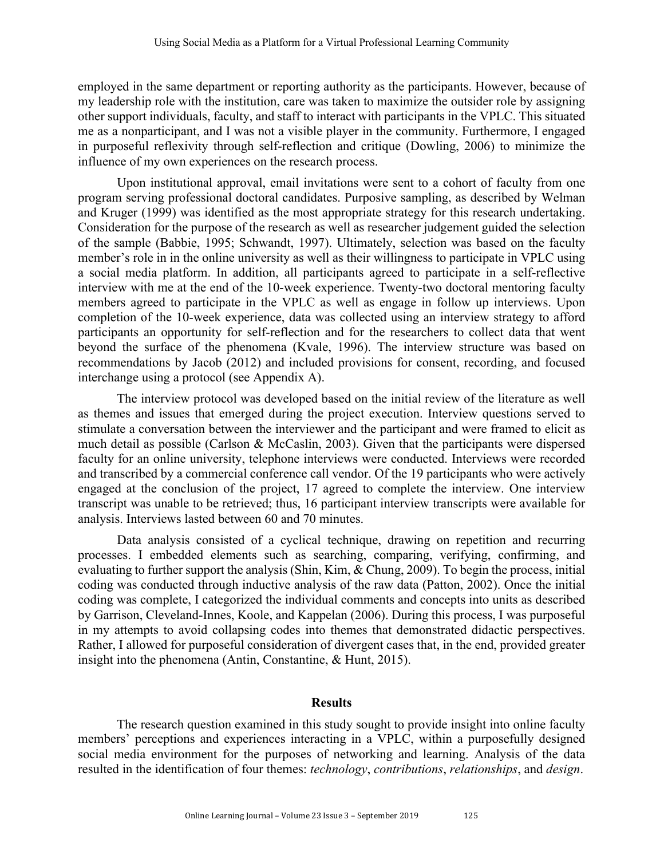employed in the same department or reporting authority as the participants. However, because of my leadership role with the institution, care was taken to maximize the outsider role by assigning other support individuals, faculty, and staff to interact with participants in the VPLC. This situated me as a nonparticipant, and I was not a visible player in the community. Furthermore, I engaged in purposeful reflexivity through self-reflection and critique (Dowling, 2006) to minimize the influence of my own experiences on the research process.

Upon institutional approval, email invitations were sent to a cohort of faculty from one program serving professional doctoral candidates. Purposive sampling, as described by Welman and Kruger (1999) was identified as the most appropriate strategy for this research undertaking. Consideration for the purpose of the research as well as researcher judgement guided the selection of the sample (Babbie, 1995; Schwandt, 1997). Ultimately, selection was based on the faculty member's role in in the online university as well as their willingness to participate in VPLC using a social media platform. In addition, all participants agreed to participate in a self-reflective interview with me at the end of the 10-week experience. Twenty-two doctoral mentoring faculty members agreed to participate in the VPLC as well as engage in follow up interviews. Upon completion of the 10-week experience, data was collected using an interview strategy to afford participants an opportunity for self-reflection and for the researchers to collect data that went beyond the surface of the phenomena (Kvale, 1996). The interview structure was based on recommendations by Jacob (2012) and included provisions for consent, recording, and focused interchange using a protocol (see Appendix A).

The interview protocol was developed based on the initial review of the literature as well as themes and issues that emerged during the project execution. Interview questions served to stimulate a conversation between the interviewer and the participant and were framed to elicit as much detail as possible (Carlson & McCaslin, 2003). Given that the participants were dispersed faculty for an online university, telephone interviews were conducted. Interviews were recorded and transcribed by a commercial conference call vendor. Of the 19 participants who were actively engaged at the conclusion of the project, 17 agreed to complete the interview. One interview transcript was unable to be retrieved; thus, 16 participant interview transcripts were available for analysis. Interviews lasted between 60 and 70 minutes.

Data analysis consisted of a cyclical technique, drawing on repetition and recurring processes. I embedded elements such as searching, comparing, verifying, confirming, and evaluating to further support the analysis (Shin, Kim, & Chung, 2009). To begin the process, initial coding was conducted through inductive analysis of the raw data (Patton, 2002). Once the initial coding was complete, I categorized the individual comments and concepts into units as described by Garrison, Cleveland-Innes, Koole, and Kappelan (2006). During this process, I was purposeful in my attempts to avoid collapsing codes into themes that demonstrated didactic perspectives. Rather, I allowed for purposeful consideration of divergent cases that, in the end, provided greater insight into the phenomena (Antin, Constantine, & Hunt, 2015).

## **Results**

The research question examined in this study sought to provide insight into online faculty members' perceptions and experiences interacting in a VPLC, within a purposefully designed social media environment for the purposes of networking and learning. Analysis of the data resulted in the identification of four themes: *technology*, *contributions*, *relationships*, and *design*.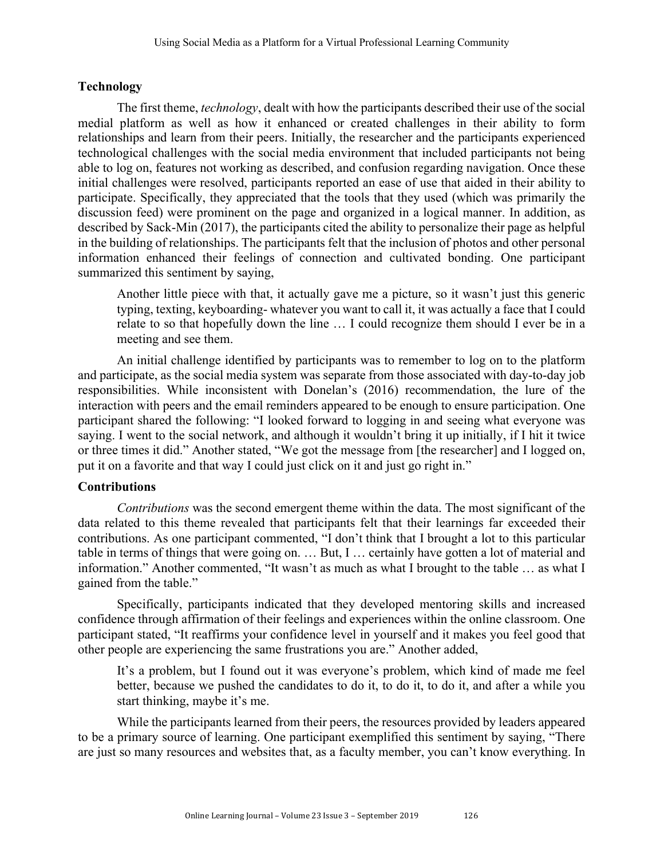# **Technology**

The first theme, *technology*, dealt with how the participants described their use of the social medial platform as well as how it enhanced or created challenges in their ability to form relationships and learn from their peers. Initially, the researcher and the participants experienced technological challenges with the social media environment that included participants not being able to log on, features not working as described, and confusion regarding navigation. Once these initial challenges were resolved, participants reported an ease of use that aided in their ability to participate. Specifically, they appreciated that the tools that they used (which was primarily the discussion feed) were prominent on the page and organized in a logical manner. In addition, as described by Sack-Min (2017), the participants cited the ability to personalize their page as helpful in the building of relationships. The participants felt that the inclusion of photos and other personal information enhanced their feelings of connection and cultivated bonding. One participant summarized this sentiment by saying,

Another little piece with that, it actually gave me a picture, so it wasn't just this generic typing, texting, keyboarding- whatever you want to call it, it was actually a face that I could relate to so that hopefully down the line … I could recognize them should I ever be in a meeting and see them.

An initial challenge identified by participants was to remember to log on to the platform and participate, as the social media system was separate from those associated with day-to-day job responsibilities. While inconsistent with Donelan's (2016) recommendation, the lure of the interaction with peers and the email reminders appeared to be enough to ensure participation. One participant shared the following: "I looked forward to logging in and seeing what everyone was saying. I went to the social network, and although it wouldn't bring it up initially, if I hit it twice or three times it did." Another stated, "We got the message from [the researcher] and I logged on, put it on a favorite and that way I could just click on it and just go right in."

# **Contributions**

*Contributions* was the second emergent theme within the data. The most significant of the data related to this theme revealed that participants felt that their learnings far exceeded their contributions. As one participant commented, "I don't think that I brought a lot to this particular table in terms of things that were going on. … But, I … certainly have gotten a lot of material and information." Another commented, "It wasn't as much as what I brought to the table … as what I gained from the table."

Specifically, participants indicated that they developed mentoring skills and increased confidence through affirmation of their feelings and experiences within the online classroom. One participant stated, "It reaffirms your confidence level in yourself and it makes you feel good that other people are experiencing the same frustrations you are." Another added,

It's a problem, but I found out it was everyone's problem, which kind of made me feel better, because we pushed the candidates to do it, to do it, to do it, and after a while you start thinking, maybe it's me.

While the participants learned from their peers, the resources provided by leaders appeared to be a primary source of learning. One participant exemplified this sentiment by saying, "There are just so many resources and websites that, as a faculty member, you can't know everything. In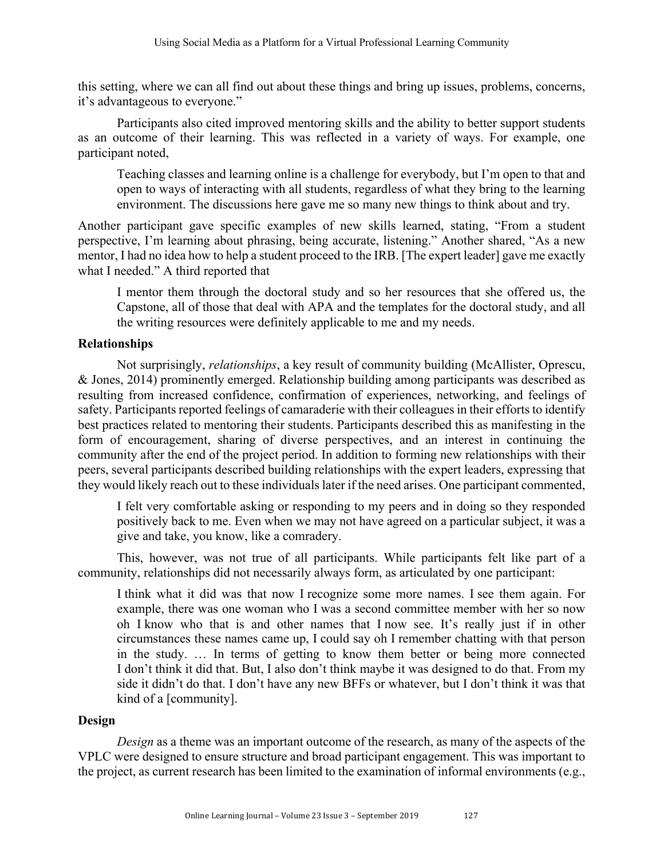this setting, where we can all find out about these things and bring up issues, problems, concerns, it's advantageous to everyone."

Participants also cited improved mentoring skills and the ability to better support students as an outcome of their learning. This was reflected in a variety of ways. For example, one participant noted,

Teaching classes and learning online is a challenge for everybody, but I'm open to that and open to ways of interacting with all students, regardless of what they bring to the learning environment. The discussions here gave me so many new things to think about and try.

Another participant gave specific examples of new skills learned, stating, "From a student perspective, I'm learning about phrasing, being accurate, listening." Another shared, "As a new mentor, I had no idea how to help a student proceed to the IRB. [The expert leader] gave me exactly what I needed." A third reported that

I mentor them through the doctoral study and so her resources that she offered us, the Capstone, all of those that deal with APA and the templates for the doctoral study, and all the writing resources were definitely applicable to me and my needs.

# **Relationships**

Not surprisingly, *relationships*, a key result of community building (McAllister, Oprescu, & Jones, 2014) prominently emerged. Relationship building among participants was described as resulting from increased confidence, confirmation of experiences, networking, and feelings of safety. Participants reported feelings of camaraderie with their colleagues in their efforts to identify best practices related to mentoring their students. Participants described this as manifesting in the form of encouragement, sharing of diverse perspectives, and an interest in continuing the community after the end of the project period. In addition to forming new relationships with their peers, several participants described building relationships with the expert leaders, expressing that they would likely reach out to these individuals later if the need arises. One participant commented,

I felt very comfortable asking or responding to my peers and in doing so they responded positively back to me. Even when we may not have agreed on a particular subject, it was a give and take, you know, like a comradery.

This, however, was not true of all participants. While participants felt like part of a community, relationships did not necessarily always form, as articulated by one participant:

I think what it did was that now I recognize some more names. I see them again. For example, there was one woman who I was a second committee member with her so now oh I know who that is and other names that I now see. It's really just if in other circumstances these names came up, I could say oh I remember chatting with that person in the study. … In terms of getting to know them better or being more connected I don't think it did that. But, I also don't think maybe it was designed to do that. From my side it didn't do that. I don't have any new BFFs or whatever, but I don't think it was that kind of a [community].

# **Design**

*Design* as a theme was an important outcome of the research, as many of the aspects of the VPLC were designed to ensure structure and broad participant engagement. This was important to the project, as current research has been limited to the examination of informal environments (e.g.,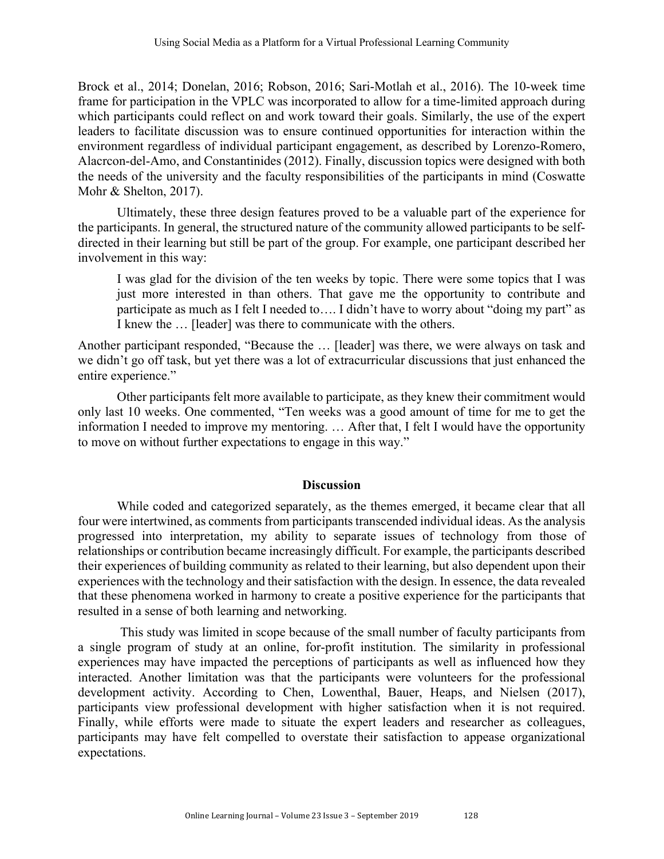Brock et al., 2014; Donelan, 2016; Robson, 2016; Sari-Motlah et al., 2016). The 10-week time frame for participation in the VPLC was incorporated to allow for a time-limited approach during which participants could reflect on and work toward their goals. Similarly, the use of the expert leaders to facilitate discussion was to ensure continued opportunities for interaction within the environment regardless of individual participant engagement, as described by Lorenzo-Romero, Alacrcon-del-Amo, and Constantinides (2012). Finally, discussion topics were designed with both the needs of the university and the faculty responsibilities of the participants in mind (Coswatte Mohr & Shelton, 2017).

Ultimately, these three design features proved to be a valuable part of the experience for the participants. In general, the structured nature of the community allowed participants to be selfdirected in their learning but still be part of the group. For example, one participant described her involvement in this way:

I was glad for the division of the ten weeks by topic. There were some topics that I was just more interested in than others. That gave me the opportunity to contribute and participate as much as I felt I needed to…. I didn't have to worry about "doing my part" as I knew the … [leader] was there to communicate with the others.

Another participant responded, "Because the … [leader] was there, we were always on task and we didn't go off task, but yet there was a lot of extracurricular discussions that just enhanced the entire experience."

Other participants felt more available to participate, as they knew their commitment would only last 10 weeks. One commented, "Ten weeks was a good amount of time for me to get the information I needed to improve my mentoring. … After that, I felt I would have the opportunity to move on without further expectations to engage in this way."

## **Discussion**

While coded and categorized separately, as the themes emerged, it became clear that all four were intertwined, as comments from participants transcended individual ideas. As the analysis progressed into interpretation, my ability to separate issues of technology from those of relationships or contribution became increasingly difficult. For example, the participants described their experiences of building community as related to their learning, but also dependent upon their experiences with the technology and their satisfaction with the design. In essence, the data revealed that these phenomena worked in harmony to create a positive experience for the participants that resulted in a sense of both learning and networking.

This study was limited in scope because of the small number of faculty participants from a single program of study at an online, for-profit institution. The similarity in professional experiences may have impacted the perceptions of participants as well as influenced how they interacted. Another limitation was that the participants were volunteers for the professional development activity. According to Chen, Lowenthal, Bauer, Heaps, and Nielsen (2017), participants view professional development with higher satisfaction when it is not required. Finally, while efforts were made to situate the expert leaders and researcher as colleagues, participants may have felt compelled to overstate their satisfaction to appease organizational expectations.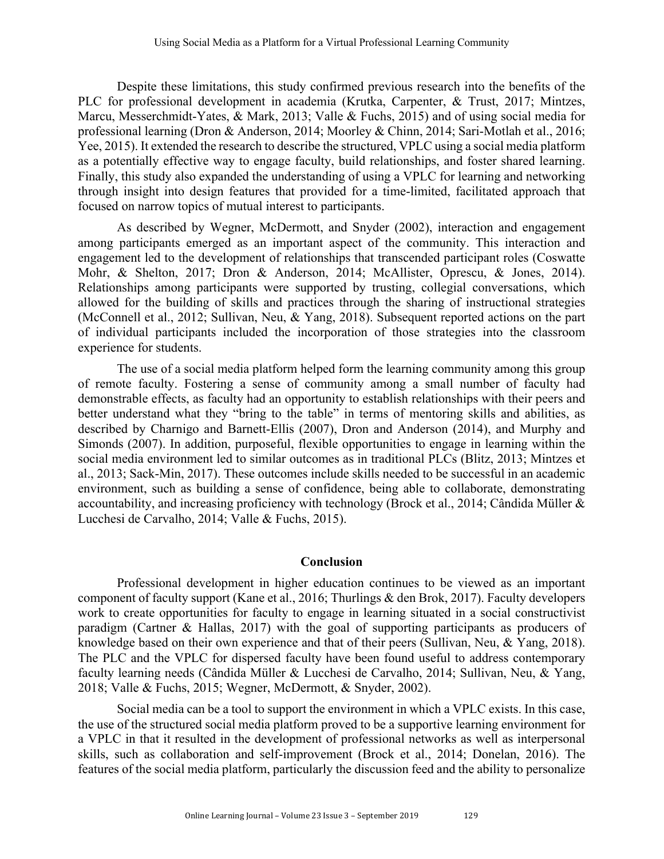Despite these limitations, this study confirmed previous research into the benefits of the PLC for professional development in academia (Krutka, Carpenter, & Trust, 2017; Mintzes, Marcu, Messerchmidt-Yates, & Mark, 2013; Valle & Fuchs, 2015) and of using social media for professional learning (Dron & Anderson, 2014; Moorley & Chinn, 2014; Sari-Motlah et al., 2016; Yee, 2015). It extended the research to describe the structured, VPLC using a social media platform as a potentially effective way to engage faculty, build relationships, and foster shared learning. Finally, this study also expanded the understanding of using a VPLC for learning and networking through insight into design features that provided for a time-limited, facilitated approach that focused on narrow topics of mutual interest to participants.

As described by Wegner, McDermott, and Snyder (2002), interaction and engagement among participants emerged as an important aspect of the community. This interaction and engagement led to the development of relationships that transcended participant roles (Coswatte Mohr, & Shelton, 2017; Dron & Anderson, 2014; McAllister, Oprescu, & Jones, 2014). Relationships among participants were supported by trusting, collegial conversations, which allowed for the building of skills and practices through the sharing of instructional strategies (McConnell et al., 2012; Sullivan, Neu, & Yang, 2018). Subsequent reported actions on the part of individual participants included the incorporation of those strategies into the classroom experience for students.

The use of a social media platform helped form the learning community among this group of remote faculty. Fostering a sense of community among a small number of faculty had demonstrable effects, as faculty had an opportunity to establish relationships with their peers and better understand what they "bring to the table" in terms of mentoring skills and abilities, as described by Charnigo and Barnett-Ellis (2007), Dron and Anderson (2014), and Murphy and Simonds (2007). In addition, purposeful, flexible opportunities to engage in learning within the social media environment led to similar outcomes as in traditional PLCs (Blitz, 2013; Mintzes et al., 2013; Sack-Min, 2017). These outcomes include skills needed to be successful in an academic environment, such as building a sense of confidence, being able to collaborate, demonstrating accountability, and increasing proficiency with technology (Brock et al., 2014; Cândida Müller & Lucchesi de Carvalho, 2014; Valle & Fuchs, 2015).

## **Conclusion**

Professional development in higher education continues to be viewed as an important component of faculty support (Kane et al., 2016; Thurlings & den Brok, 2017). Faculty developers work to create opportunities for faculty to engage in learning situated in a social constructivist paradigm (Cartner & Hallas, 2017) with the goal of supporting participants as producers of knowledge based on their own experience and that of their peers (Sullivan, Neu, & Yang, 2018). The PLC and the VPLC for dispersed faculty have been found useful to address contemporary faculty learning needs (Cândida Müller & Lucchesi de Carvalho, 2014; Sullivan, Neu, & Yang, 2018; Valle & Fuchs, 2015; Wegner, McDermott, & Snyder, 2002).

Social media can be a tool to support the environment in which a VPLC exists. In this case, the use of the structured social media platform proved to be a supportive learning environment for a VPLC in that it resulted in the development of professional networks as well as interpersonal skills, such as collaboration and self-improvement (Brock et al., 2014; Donelan, 2016). The features of the social media platform, particularly the discussion feed and the ability to personalize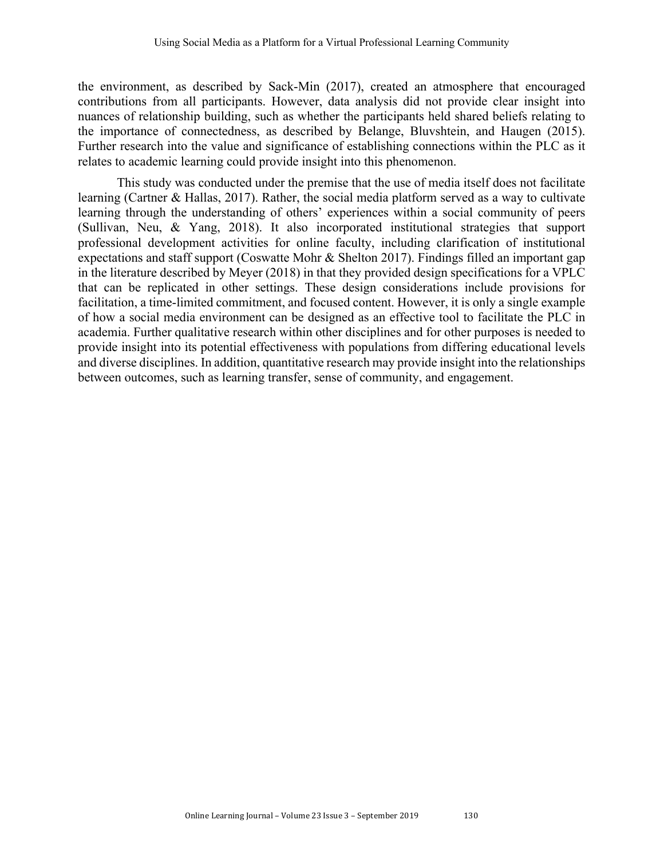the environment, as described by Sack-Min (2017), created an atmosphere that encouraged contributions from all participants. However, data analysis did not provide clear insight into nuances of relationship building, such as whether the participants held shared beliefs relating to the importance of connectedness, as described by Belange, Bluvshtein, and Haugen (2015). Further research into the value and significance of establishing connections within the PLC as it relates to academic learning could provide insight into this phenomenon.

This study was conducted under the premise that the use of media itself does not facilitate learning (Cartner & Hallas, 2017). Rather, the social media platform served as a way to cultivate learning through the understanding of others' experiences within a social community of peers (Sullivan, Neu, & Yang, 2018). It also incorporated institutional strategies that support professional development activities for online faculty, including clarification of institutional expectations and staff support (Coswatte Mohr & Shelton 2017). Findings filled an important gap in the literature described by Meyer (2018) in that they provided design specifications for a VPLC that can be replicated in other settings. These design considerations include provisions for facilitation, a time-limited commitment, and focused content. However, it is only a single example of how a social media environment can be designed as an effective tool to facilitate the PLC in academia. Further qualitative research within other disciplines and for other purposes is needed to provide insight into its potential effectiveness with populations from differing educational levels and diverse disciplines. In addition, quantitative research may provide insight into the relationships between outcomes, such as learning transfer, sense of community, and engagement.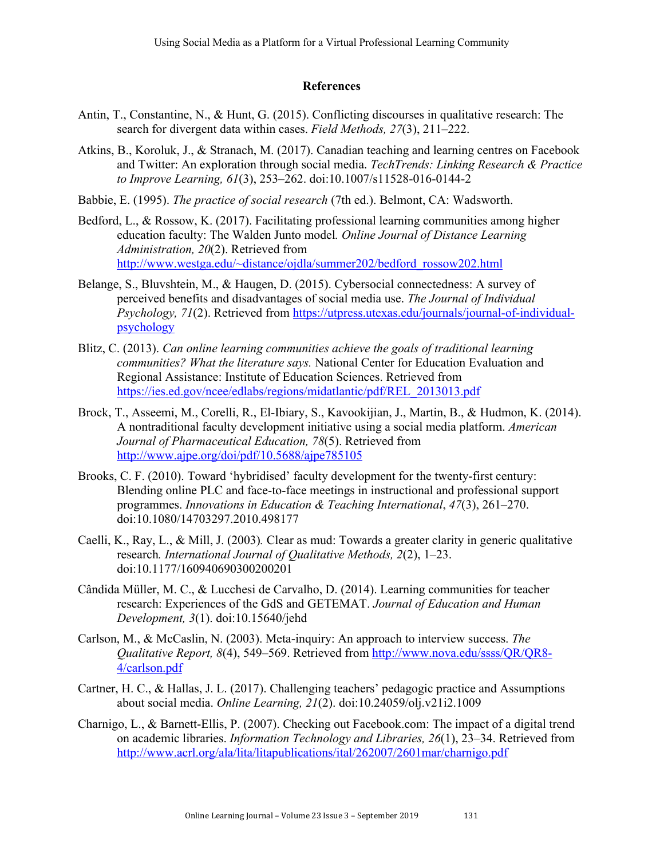#### **References**

- Antin, T., Constantine, N., & Hunt, G. (2015). Conflicting discourses in qualitative research: The search for divergent data within cases. *Field Methods, 27*(3), 211–222.
- Atkins, B., Koroluk, J., & Stranach, M. (2017). Canadian teaching and learning centres on Facebook and Twitter: An exploration through social media. *TechTrends: Linking Research & Practice to Improve Learning, 61*(3), 253–262. doi:10.1007/s11528-016-0144-2
- Babbie, E. (1995). *The practice of social research* (7th ed.). Belmont, CA: Wadsworth.
- Bedford, L., & Rossow, K. (2017). Facilitating professional learning communities among higher education faculty: The Walden Junto model*. Online Journal of Distance Learning Administration, 20*(2). Retrieved from http://www.westga.edu/~distance/ojdla/summer202/bedford\_rossow202.html
- Belange, S., Bluvshtein, M., & Haugen, D. (2015). Cybersocial connectedness: A survey of perceived benefits and disadvantages of social media use. *The Journal of Individual Psychology, 71(2).* Retrieved from https://utpress.utexas.edu/journals/journal-of-individualpsychology
- Blitz, C. (2013). *Can online learning communities achieve the goals of traditional learning communities? What the literature says.* National Center for Education Evaluation and Regional Assistance: Institute of Education Sciences. Retrieved from https://ies.ed.gov/ncee/edlabs/regions/midatlantic/pdf/REL\_2013013.pdf
- Brock, T., Asseemi, M., Corelli, R., El-Ibiary, S., Kavookijian, J., Martin, B., & Hudmon, K. (2014). A nontraditional faculty development initiative using a social media platform. *American Journal of Pharmaceutical Education, 78*(5). Retrieved from http://www.ajpe.org/doi/pdf/10.5688/ajpe785105
- Brooks, C. F. (2010). Toward 'hybridised' faculty development for the twenty-first century: Blending online PLC and face-to-face meetings in instructional and professional support programmes. *Innovations in Education & Teaching International*, *47*(3), 261–270. doi:10.1080/14703297.2010.498177
- Caelli, K., Ray, L., & Mill, J. (2003)*.* Clear as mud: Towards a greater clarity in generic qualitative research*. International Journal of Qualitative Methods, 2*(2), 1–23. doi:10.1177/160940690300200201
- Cândida Müller, M. C., & Lucchesi de Carvalho, D. (2014). Learning communities for teacher research: Experiences of the GdS and GETEMAT. *Journal of Education and Human Development, 3*(1). doi:10.15640/jehd
- Carlson, M., & McCaslin, N. (2003). Meta-inquiry: An approach to interview success. *The Qualitative Report, 8*(4), 549–569. Retrieved from http://www.nova.edu/ssss/QR/QR8- 4/carlson.pdf
- Cartner, H. C., & Hallas, J. L. (2017). Challenging teachers' pedagogic practice and Assumptions about social media. *Online Learning, 21*(2). doi:10.24059/olj.v21i2.1009
- Charnigo, L., & Barnett-Ellis, P. (2007). Checking out Facebook.com: The impact of a digital trend on academic libraries. *Information Technology and Libraries, 26*(1), 23–34. Retrieved from http://www.acrl.org/ala/lita/litapublications/ital/262007/2601mar/charnigo.pdf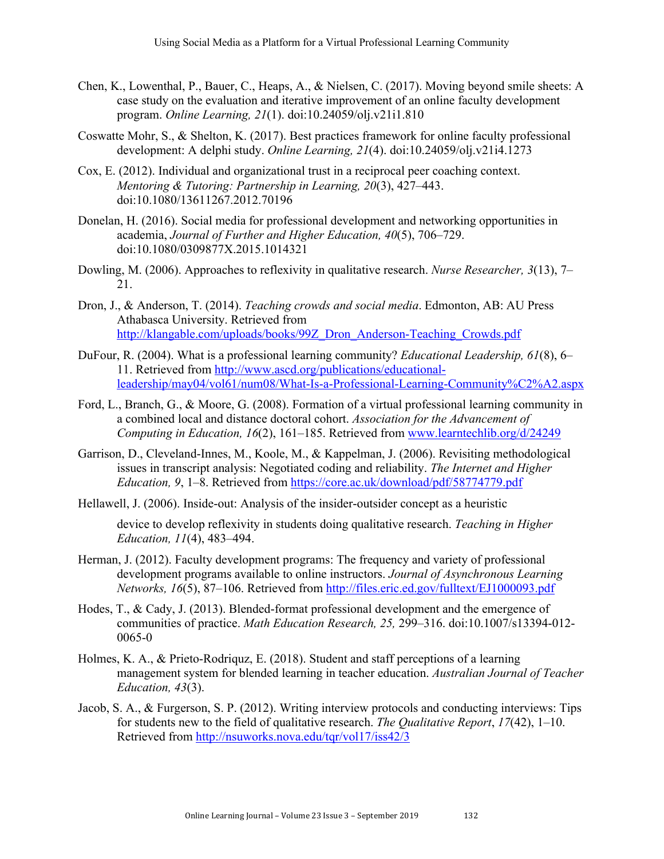- Chen, K., Lowenthal, P., Bauer, C., Heaps, A., & Nielsen, C. (2017). Moving beyond smile sheets: A case study on the evaluation and iterative improvement of an online faculty development program. *Online Learning, 21*(1). doi:10.24059/olj.v21i1.810
- Coswatte Mohr, S., & Shelton, K. (2017). Best practices framework for online faculty professional development: A delphi study. *Online Learning, 21*(4). doi:10.24059/olj.v21i4.1273
- Cox, E. (2012). Individual and organizational trust in a reciprocal peer coaching context. *Mentoring & Tutoring: Partnership in Learning, 20*(3), 427–443. doi:10.1080/13611267.2012.70196
- Donelan, H. (2016). Social media for professional development and networking opportunities in academia, *Journal of Further and Higher Education, 40*(5), 706–729. doi:10.1080/0309877X.2015.1014321
- Dowling, M. (2006). Approaches to reflexivity in qualitative research. *Nurse Researcher, 3*(13), 7– 21.
- Dron, J., & Anderson, T. (2014). *Teaching crowds and social media*. Edmonton, AB: AU Press Athabasca University. Retrieved from http://klangable.com/uploads/books/99Z\_Dron\_Anderson-Teaching\_Crowds.pdf
- DuFour, R. (2004). What is a professional learning community? *Educational Leadership, 61*(8), 6– 11. Retrieved from http://www.ascd.org/publications/educationalleadership/may04/vol61/num08/What-Is-a-Professional-Learning-Community%C2%A2.aspx
- Ford, L., Branch, G., & Moore, G. (2008). Formation of a virtual professional learning community in a combined local and distance doctoral cohort. *Association for the Advancement of Computing in Education, 16*(2), 161–185. Retrieved from www.learntechlib.org/d/24249
- Garrison, D., Cleveland-Innes, M., Koole, M., & Kappelman, J. (2006). Revisiting methodological issues in transcript analysis: Negotiated coding and reliability. *The Internet and Higher Education, 9*, 1–8. Retrieved from https://core.ac.uk/download/pdf/58774779.pdf
- Hellawell, J. (2006). Inside-out: Analysis of the insider-outsider concept as a heuristic

device to develop reflexivity in students doing qualitative research. *Teaching in Higher Education, 11*(4), 483–494.

- Herman, J. (2012). Faculty development programs: The frequency and variety of professional development programs available to online instructors. *Journal of Asynchronous Learning Networks, 16*(5), 87–106. Retrieved from http://files.eric.ed.gov/fulltext/EJ1000093.pdf
- Hodes, T., & Cady, J. (2013). Blended-format professional development and the emergence of communities of practice. *Math Education Research, 25,* 299–316. doi:10.1007/s13394-012- 0065-0
- Holmes, K. A., & Prieto-Rodriquz, E. (2018). Student and staff perceptions of a learning management system for blended learning in teacher education. *Australian Journal of Teacher Education, 43*(3).
- Jacob, S. A., & Furgerson, S. P. (2012). Writing interview protocols and conducting interviews: Tips for students new to the field of qualitative research. *The Qualitative Report*, *17*(42), 1–10. Retrieved from http://nsuworks.nova.edu/tqr/vol17/iss42/3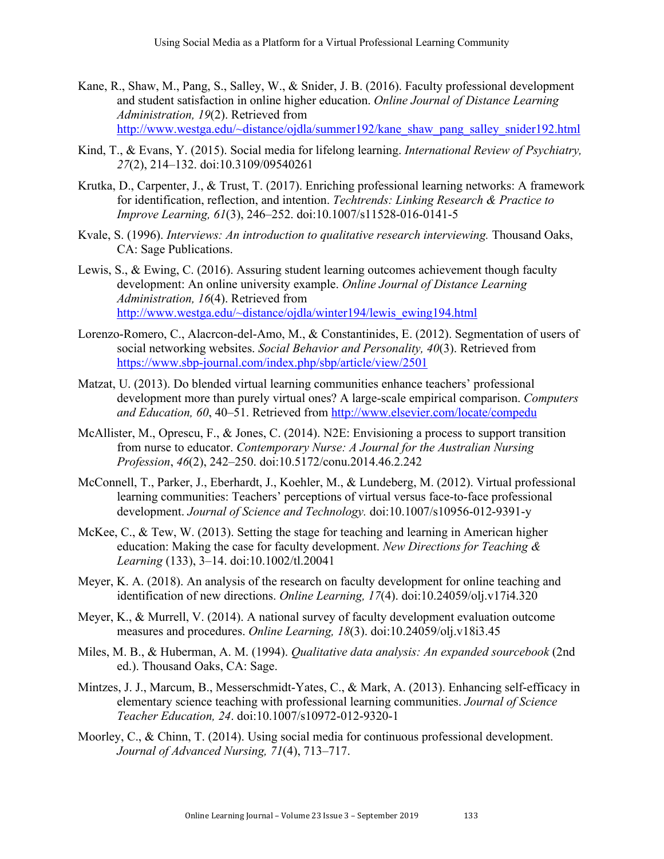- Kane, R., Shaw, M., Pang, S., Salley, W., & Snider, J. B. (2016). Faculty professional development and student satisfaction in online higher education. *Online Journal of Distance Learning Administration, 19*(2). Retrieved from http://www.westga.edu/~distance/ojdla/summer192/kane\_shaw\_pang\_salley\_snider192.html
- Kind, T., & Evans, Y. (2015). Social media for lifelong learning. *International Review of Psychiatry, 27*(2), 214–132. doi:10.3109/09540261
- Krutka, D., Carpenter, J., & Trust, T. (2017). Enriching professional learning networks: A framework for identification, reflection, and intention. *Techtrends: Linking Research & Practice to Improve Learning, 61*(3), 246–252. doi:10.1007/s11528-016-0141-5
- Kvale, S. (1996). *Interviews: An introduction to qualitative research interviewing.* Thousand Oaks, CA: Sage Publications.
- Lewis, S., & Ewing, C. (2016). Assuring student learning outcomes achievement though faculty development: An online university example. *Online Journal of Distance Learning Administration, 16*(4). Retrieved from http://www.westga.edu/~distance/ojdla/winter194/lewis\_ewing194.html
- Lorenzo-Romero, C., Alacrcon-del-Amo, M., & Constantinides, E. (2012). Segmentation of users of social networking websites. *Social Behavior and Personality, 40*(3). Retrieved from https://www.sbp-journal.com/index.php/sbp/article/view/2501
- Matzat, U. (2013). Do blended virtual learning communities enhance teachers' professional development more than purely virtual ones? A large-scale empirical comparison. *Computers and Education, 60*, 40–51. Retrieved from http://www.elsevier.com/locate/compedu
- McAllister, M., Oprescu, F., & Jones, C. (2014). N2E: Envisioning a process to support transition from nurse to educator. *Contemporary Nurse: A Journal for the Australian Nursing Profession*, *46*(2), 242–250. doi:10.5172/conu.2014.46.2.242
- McConnell, T., Parker, J., Eberhardt, J., Koehler, M., & Lundeberg, M. (2012). Virtual professional learning communities: Teachers' perceptions of virtual versus face-to-face professional development. *Journal of Science and Technology.* doi:10.1007/s10956-012-9391-y
- McKee, C., & Tew, W. (2013). Setting the stage for teaching and learning in American higher education: Making the case for faculty development. *New Directions for Teaching & Learning* (133), 3–14. doi:10.1002/tl.20041
- Meyer, K. A. (2018). An analysis of the research on faculty development for online teaching and identification of new directions. *Online Learning, 17*(4). doi:10.24059/olj.v17i4.320
- Meyer, K., & Murrell, V. (2014). A national survey of faculty development evaluation outcome measures and procedures. *Online Learning, 18*(3). doi:10.24059/olj.v18i3.45
- Miles, M. B., & Huberman, A. M. (1994). *Qualitative data analysis: An expanded sourcebook* (2nd ed.). Thousand Oaks, CA: Sage.
- Mintzes, J. J., Marcum, B., Messerschmidt-Yates, C., & Mark, A. (2013). Enhancing self-efficacy in elementary science teaching with professional learning communities. *Journal of Science Teacher Education, 24*. doi:10.1007/s10972-012-9320-1
- Moorley, C., & Chinn, T. (2014). Using social media for continuous professional development. *Journal of Advanced Nursing, 71*(4), 713–717.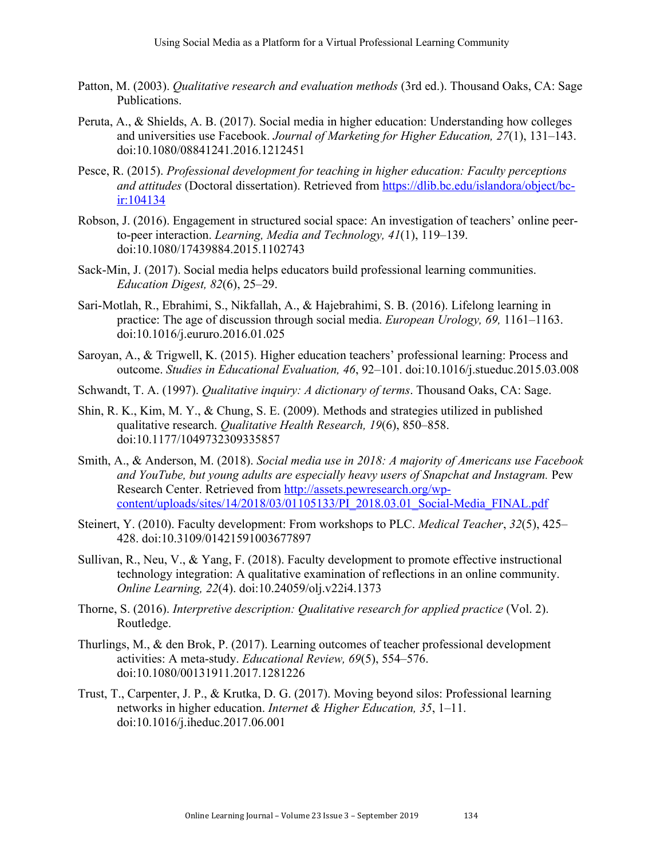- Patton, M. (2003). *Qualitative research and evaluation methods* (3rd ed.). Thousand Oaks, CA: Sage Publications.
- Peruta, A., & Shields, A. B. (2017). Social media in higher education: Understanding how colleges and universities use Facebook. *Journal of Marketing for Higher Education, 27*(1), 131–143. doi:10.1080/08841241.2016.1212451
- Pesce, R. (2015). *Professional development for teaching in higher education: Faculty perceptions and attitudes* (Doctoral dissertation). Retrieved from https://dlib.bc.edu/islandora/object/bcir:104134
- Robson, J. (2016). Engagement in structured social space: An investigation of teachers' online peerto-peer interaction. *Learning, Media and Technology, 41*(1), 119–139. doi:10.1080/17439884.2015.1102743
- Sack-Min, J. (2017). Social media helps educators build professional learning communities. *Education Digest, 82*(6), 25–29.
- Sari-Motlah, R., Ebrahimi, S., Nikfallah, A., & Hajebrahimi, S. B. (2016). Lifelong learning in practice: The age of discussion through social media. *European Urology, 69,* 1161–1163. doi:10.1016/j.eururo.2016.01.025
- Saroyan, A., & Trigwell, K. (2015). Higher education teachers' professional learning: Process and outcome. *Studies in Educational Evaluation, 46*, 92–101. doi:10.1016/j.stueduc.2015.03.008
- Schwandt, T. A. (1997). *Qualitative inquiry: A dictionary of terms*. Thousand Oaks, CA: Sage.
- Shin, R. K., Kim, M. Y., & Chung, S. E. (2009). Methods and strategies utilized in published qualitative research. *Qualitative Health Research, 19*(6), 850–858. doi:10.1177/1049732309335857
- Smith, A., & Anderson, M. (2018). *Social media use in 2018: A majority of Americans use Facebook and YouTube, but young adults are especially heavy users of Snapchat and Instagram.* Pew Research Center. Retrieved from http://assets.pewresearch.org/wpcontent/uploads/sites/14/2018/03/01105133/PI\_2018.03.01\_Social-Media\_FINAL.pdf
- Steinert, Y. (2010). Faculty development: From workshops to PLC. *Medical Teacher*, *32*(5), 425– 428. doi:10.3109/01421591003677897
- Sullivan, R., Neu, V., & Yang, F. (2018). Faculty development to promote effective instructional technology integration: A qualitative examination of reflections in an online community. *Online Learning, 22*(4). doi:10.24059/olj.v22i4.1373
- Thorne, S. (2016). *Interpretive description: Qualitative research for applied practice* (Vol. 2). Routledge.
- Thurlings, M., & den Brok, P. (2017). Learning outcomes of teacher professional development activities: A meta-study. *Educational Review, 69*(5), 554–576. doi:10.1080/00131911.2017.1281226
- Trust, T., Carpenter, J. P., & Krutka, D. G. (2017). Moving beyond silos: Professional learning networks in higher education. *Internet & Higher Education, 35*, 1–11. doi:10.1016/j.iheduc.2017.06.001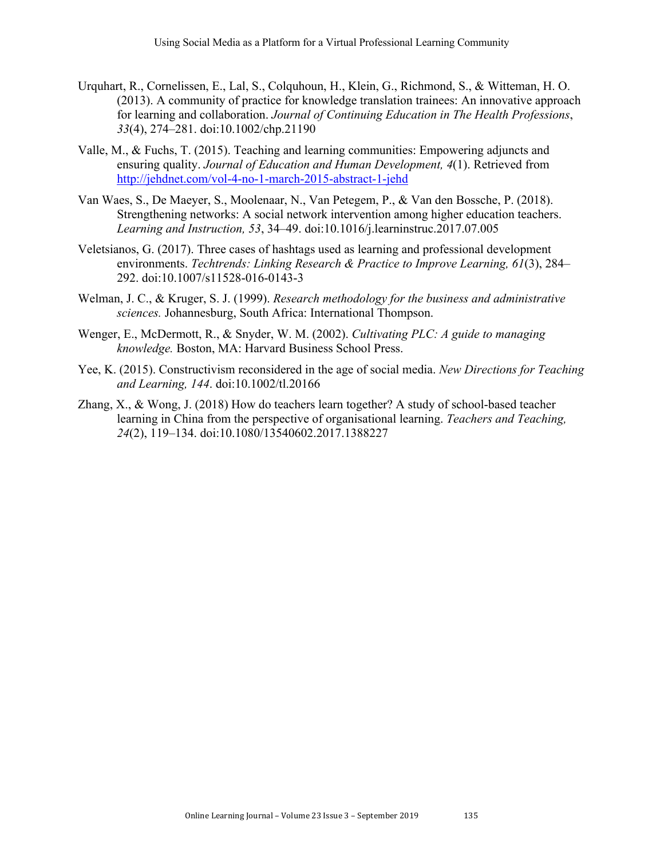- Urquhart, R., Cornelissen, E., Lal, S., Colquhoun, H., Klein, G., Richmond, S., & Witteman, H. O. (2013). A community of practice for knowledge translation trainees: An innovative approach for learning and collaboration. *Journal of Continuing Education in The Health Professions*, *33*(4), 274–281. doi:10.1002/chp.21190
- Valle, M., & Fuchs, T. (2015). Teaching and learning communities: Empowering adjuncts and ensuring quality. *Journal of Education and Human Development, 4*(1). Retrieved from http://jehdnet.com/vol-4-no-1-march-2015-abstract-1-jehd
- Van Waes, S., De Maeyer, S., Moolenaar, N., Van Petegem, P., & Van den Bossche, P. (2018). Strengthening networks: A social network intervention among higher education teachers. *Learning and Instruction, 53*, 34–49. doi:10.1016/j.learninstruc.2017.07.005
- Veletsianos, G. (2017). Three cases of hashtags used as learning and professional development environments. *Techtrends: Linking Research & Practice to Improve Learning, 61*(3), 284– 292. doi:10.1007/s11528-016-0143-3
- Welman, J. C., & Kruger, S. J. (1999). *Research methodology for the business and administrative sciences.* Johannesburg, South Africa: International Thompson.
- Wenger, E., McDermott, R., & Snyder, W. M. (2002). *Cultivating PLC: A guide to managing knowledge.* Boston, MA: Harvard Business School Press.
- Yee, K. (2015). Constructivism reconsidered in the age of social media. *New Directions for Teaching and Learning, 144*. doi:10.1002/tl.20166
- Zhang, X., & Wong, J. (2018) How do teachers learn together? A study of school-based teacher learning in China from the perspective of organisational learning. *Teachers and Teaching, 24*(2), 119–134. doi:10.1080/13540602.2017.1388227